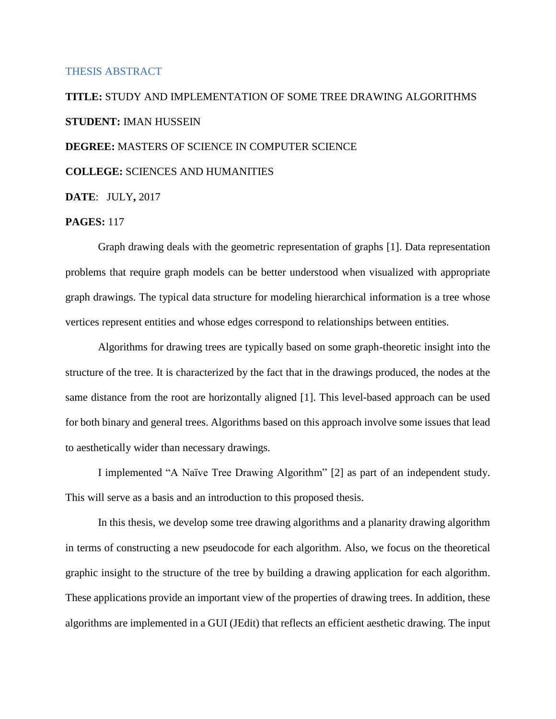### THESIS ABSTRACT

# **TITLE:** STUDY AND IMPLEMENTATION OF SOME TREE DRAWING ALGORITHMS **STUDENT:** IMAN HUSSEIN

## **DEGREE:** MASTERS OF SCIENCE IN COMPUTER SCIENCE

# **COLLEGE:** SCIENCES AND HUMANITIES

**DATE**: JULY**,** 2017

# **PAGES:** 117

Graph drawing deals with the geometric representation of graphs [1]. Data representation problems that require graph models can be better understood when visualized with appropriate graph drawings. The typical data structure for modeling hierarchical information is a tree whose vertices represent entities and whose edges correspond to relationships between entities.

Algorithms for drawing trees are typically based on some graph-theoretic insight into the structure of the tree. It is characterized by the fact that in the drawings produced, the nodes at the same distance from the root are horizontally aligned [1]. This level-based approach can be used for both binary and general trees. Algorithms based on this approach involve some issues that lead to aesthetically wider than necessary drawings.

I implemented "A Naïve Tree Drawing Algorithm" [2] as part of an independent study. This will serve as a basis and an introduction to this proposed thesis.

In this thesis, we develop some tree drawing algorithms and a planarity drawing algorithm in terms of constructing a new pseudocode for each algorithm. Also, we focus on the theoretical graphic insight to the structure of the tree by building a drawing application for each algorithm. These applications provide an important view of the properties of drawing trees. In addition, these algorithms are implemented in a GUI (JEdit) that reflects an efficient aesthetic drawing. The input